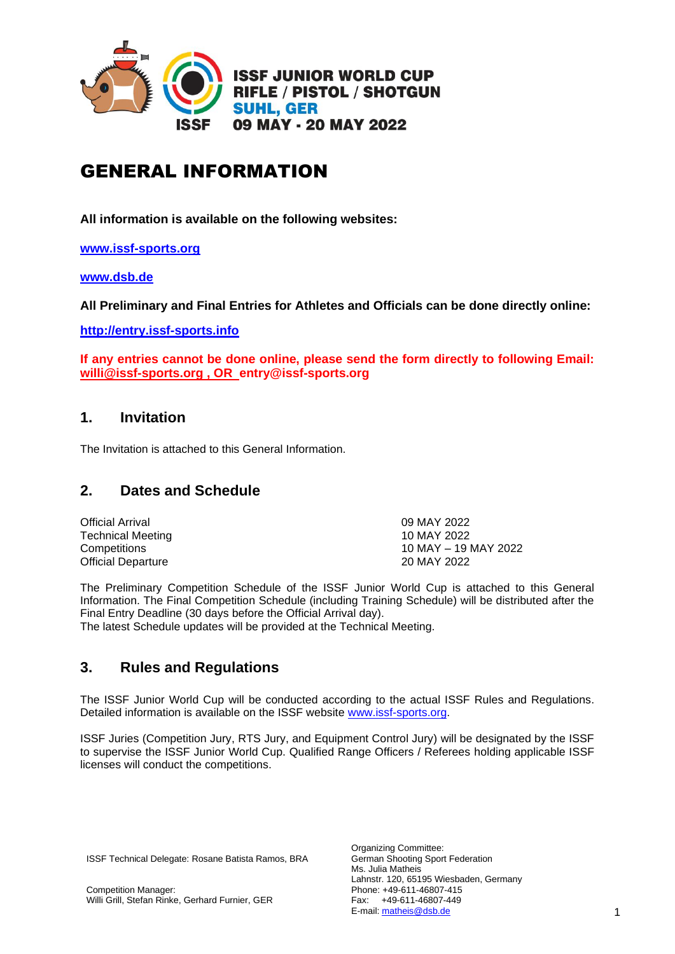

# GENERAL INFORMATION

**All information is available on the following websites:**

**[www.issf-sports.org](http://www.issf-sports.org/)**

**[www.dsb.de](http://www.dsb.de/)**

**All Preliminary and Final Entries for Athletes and Officials can be done directly online:**

**[http://entry.issf-sports.info](http://entry.issf-sports.info/)**

**If any entries cannot be done online, please send the form directly to following Email: [willi@issf-sports.org](mailto:willi@issf-sports.org) , OR entry@issf-sports.org**

# **1. Invitation**

The Invitation is attached to this General Information.

# **2. Dates and Schedule**

| <b>Official Arrival</b>   | 09 MAY 2022          |
|---------------------------|----------------------|
| Technical Meeting         | 10 MAY 2022          |
| Competitions              | 10 MAY – 19 MAY 2022 |
| <b>Official Departure</b> | 20 MAY 2022          |

The Preliminary Competition Schedule of the ISSF Junior World Cup is attached to this General Information. The Final Competition Schedule (including Training Schedule) will be distributed after the Final Entry Deadline (30 days before the Official Arrival day).

The latest Schedule updates will be provided at the Technical Meeting.

# **3. Rules and Regulations**

The ISSF Junior World Cup will be conducted according to the actual ISSF Rules and Regulations. Detailed information is available on the ISSF website [www.issf-sports.org.](http://www.issf-sports.org/)

ISSF Juries (Competition Jury, RTS Jury, and Equipment Control Jury) will be designated by the ISSF to supervise the ISSF Junior World Cup. Qualified Range Officers / Referees holding applicable ISSF licenses will conduct the competitions.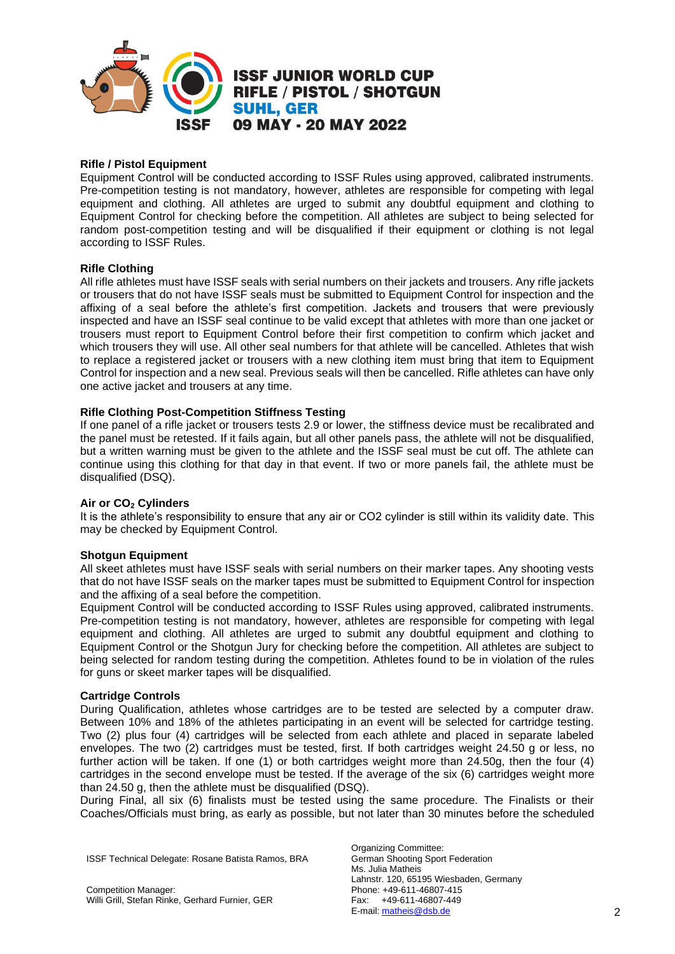

#### **Rifle / Pistol Equipment**

Equipment Control will be conducted according to ISSF Rules using approved, calibrated instruments. Pre-competition testing is not mandatory, however, athletes are responsible for competing with legal equipment and clothing. All athletes are urged to submit any doubtful equipment and clothing to Equipment Control for checking before the competition. All athletes are subject to being selected for random post-competition testing and will be disqualified if their equipment or clothing is not legal according to ISSF Rules.

#### **Rifle Clothing**

All rifle athletes must have ISSF seals with serial numbers on their jackets and trousers. Any rifle jackets or trousers that do not have ISSF seals must be submitted to Equipment Control for inspection and the affixing of a seal before the athlete's first competition. Jackets and trousers that were previously inspected and have an ISSF seal continue to be valid except that athletes with more than one jacket or trousers must report to Equipment Control before their first competition to confirm which jacket and which trousers they will use. All other seal numbers for that athlete will be cancelled. Athletes that wish to replace a registered jacket or trousers with a new clothing item must bring that item to Equipment Control for inspection and a new seal. Previous seals will then be cancelled. Rifle athletes can have only one active jacket and trousers at any time.

#### **Rifle Clothing Post-Competition Stiffness Testing**

If one panel of a rifle jacket or trousers tests 2.9 or lower, the stiffness device must be recalibrated and the panel must be retested. If it fails again, but all other panels pass, the athlete will not be disqualified, but a written warning must be given to the athlete and the ISSF seal must be cut off. The athlete can continue using this clothing for that day in that event. If two or more panels fail, the athlete must be disqualified (DSQ).

#### **Air or CO<sup>2</sup> Cylinders**

It is the athlete's responsibility to ensure that any air or CO2 cylinder is still within its validity date. This may be checked by Equipment Control.

#### **Shotgun Equipment**

All skeet athletes must have ISSF seals with serial numbers on their marker tapes. Any shooting vests that do not have ISSF seals on the marker tapes must be submitted to Equipment Control for inspection and the affixing of a seal before the competition.

Equipment Control will be conducted according to ISSF Rules using approved, calibrated instruments. Pre-competition testing is not mandatory, however, athletes are responsible for competing with legal equipment and clothing. All athletes are urged to submit any doubtful equipment and clothing to Equipment Control or the Shotgun Jury for checking before the competition. All athletes are subject to being selected for random testing during the competition. Athletes found to be in violation of the rules for guns or skeet marker tapes will be disqualified.

#### **Cartridge Controls**

During Qualification, athletes whose cartridges are to be tested are selected by a computer draw. Between 10% and 18% of the athletes participating in an event will be selected for cartridge testing. Two (2) plus four (4) cartridges will be selected from each athlete and placed in separate labeled envelopes. The two (2) cartridges must be tested, first. If both cartridges weight 24.50 g or less, no further action will be taken. If one (1) or both cartridges weight more than 24.50g, then the four (4) cartridges in the second envelope must be tested. If the average of the six (6) cartridges weight more than 24.50 g, then the athlete must be disqualified (DSQ).

During Final, all six (6) finalists must be tested using the same procedure. The Finalists or their Coaches/Officials must bring, as early as possible, but not later than 30 minutes before the scheduled

ISSF Technical Delegate: Rosane Batista Ramos, BRA

Organizing Committee: German Shooting Sport Federation Ms. Julia Matheis Lahnstr. 120, 65195 Wiesbaden, Germany Phone: +49-611-46807-415 Fax: +49-611-46807-449 E-mail: [matheis@dsb.de](mailto:matheis@dsb.de) 2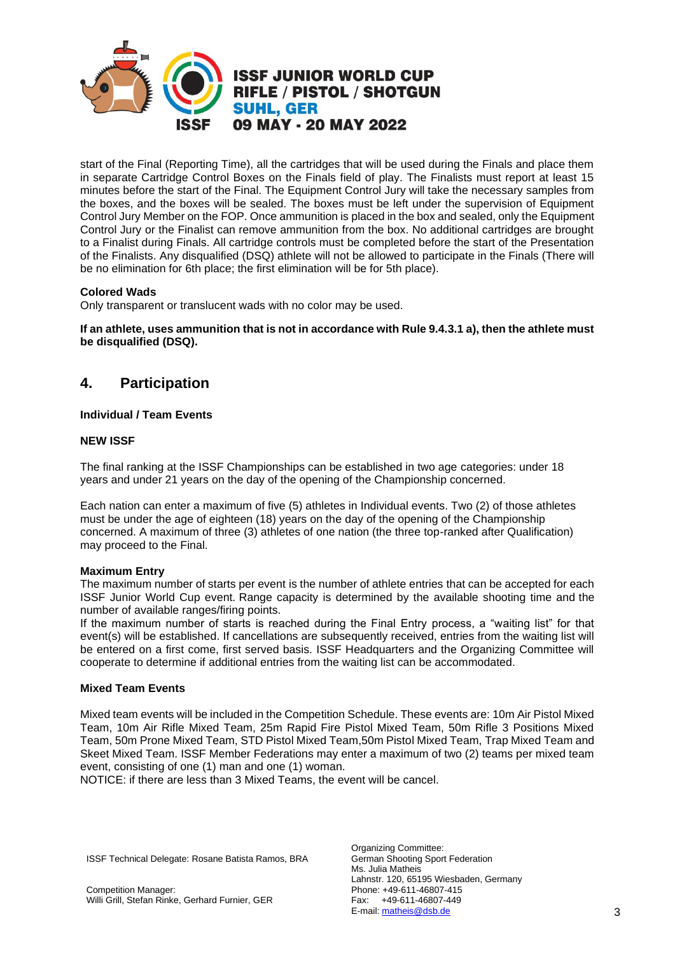

start of the Final (Reporting Time), all the cartridges that will be used during the Finals and place them in separate Cartridge Control Boxes on the Finals field of play. The Finalists must report at least 15 minutes before the start of the Final. The Equipment Control Jury will take the necessary samples from the boxes, and the boxes will be sealed. The boxes must be left under the supervision of Equipment Control Jury Member on the FOP. Once ammunition is placed in the box and sealed, only the Equipment Control Jury or the Finalist can remove ammunition from the box. No additional cartridges are brought to a Finalist during Finals. All cartridge controls must be completed before the start of the Presentation of the Finalists. Any disqualified (DSQ) athlete will not be allowed to participate in the Finals (There will be no elimination for 6th place; the first elimination will be for 5th place).

### **Colored Wads**

Only transparent or translucent wads with no color may be used.

**If an athlete, uses ammunition that is not in accordance with Rule 9.4.3.1 a), then the athlete must be disqualified (DSQ).**

# **4. Participation**

#### **Individual / Team Events**

#### **NEW ISSF**

The final ranking at the ISSF Championships can be established in two age categories: under 18 years and under 21 years on the day of the opening of the Championship concerned.

Each nation can enter a maximum of five (5) athletes in Individual events. Two (2) of those athletes must be under the age of eighteen (18) years on the day of the opening of the Championship concerned. A maximum of three (3) athletes of one nation (the three top-ranked after Qualification) may proceed to the Final.

#### **Maximum Entry**

The maximum number of starts per event is the number of athlete entries that can be accepted for each ISSF Junior World Cup event. Range capacity is determined by the available shooting time and the number of available ranges/firing points.

If the maximum number of starts is reached during the Final Entry process, a "waiting list" for that event(s) will be established. If cancellations are subsequently received, entries from the waiting list will be entered on a first come, first served basis. ISSF Headquarters and the Organizing Committee will cooperate to determine if additional entries from the waiting list can be accommodated.

#### **Mixed Team Events**

Mixed team events will be included in the Competition Schedule. These events are: 10m Air Pistol Mixed Team, 10m Air Rifle Mixed Team, 25m Rapid Fire Pistol Mixed Team, 50m Rifle 3 Positions Mixed Team, 50m Prone Mixed Team, STD Pistol Mixed Team,50m Pistol Mixed Team, Trap Mixed Team and Skeet Mixed Team. ISSF Member Federations may enter a maximum of two (2) teams per mixed team event, consisting of one (1) man and one (1) woman.

NOTICE: if there are less than 3 Mixed Teams, the event will be cancel.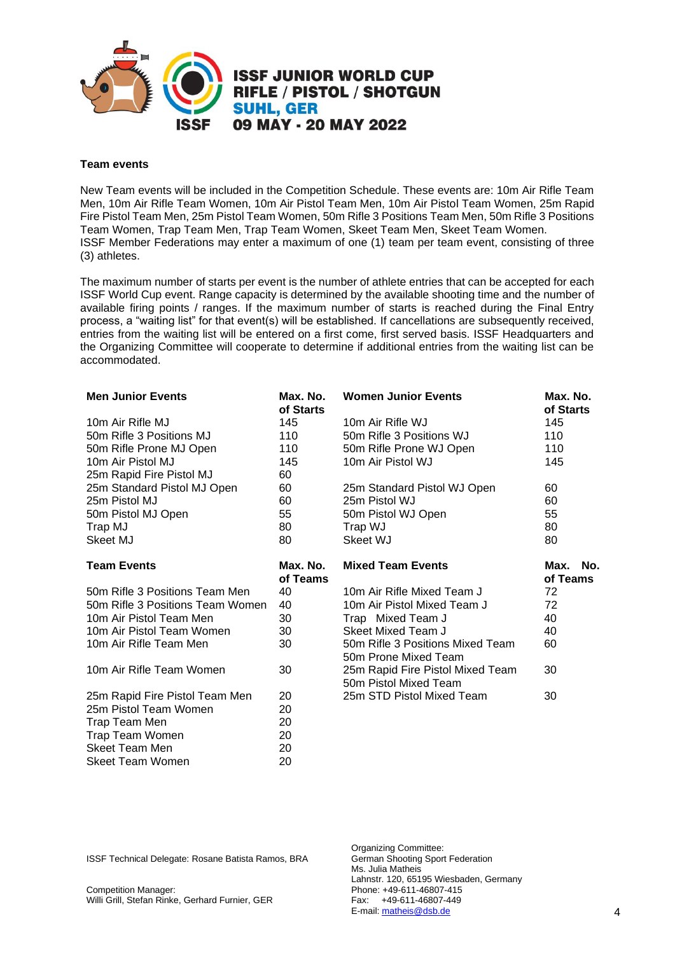

#### **Team events**

New Team events will be included in the Competition Schedule. These events are: 10m Air Rifle Team Men, 10m Air Rifle Team Women, 10m Air Pistol Team Men, 10m Air Pistol Team Women, 25m Rapid Fire Pistol Team Men, 25m Pistol Team Women, 50m Rifle 3 Positions Team Men, 50m Rifle 3 Positions Team Women, Trap Team Men, Trap Team Women, Skeet Team Men, Skeet Team Women. ISSF Member Federations may enter a maximum of one (1) team per team event, consisting of three (3) athletes.

The maximum number of starts per event is the number of athlete entries that can be accepted for each ISSF World Cup event. Range capacity is determined by the available shooting time and the number of available firing points / ranges. If the maximum number of starts is reached during the Final Entry process, a "waiting list" for that event(s) will be established. If cancellations are subsequently received, entries from the waiting list will be entered on a first come, first served basis. ISSF Headquarters and the Organizing Committee will cooperate to determine if additional entries from the waiting list can be accommodated.

| <b>Men Junior Events</b>         | Max. No.<br>of Starts | <b>Women Junior Events</b>                                | Max. No.<br>of Starts   |  |
|----------------------------------|-----------------------|-----------------------------------------------------------|-------------------------|--|
| 10m Air Rifle MJ                 | 145                   | 10m Air Rifle WJ                                          | 145                     |  |
| 50m Rifle 3 Positions MJ         | 110                   | 50m Rifle 3 Positions WJ                                  | 110                     |  |
| 50m Rifle Prone MJ Open          | 110                   | 50m Rifle Prone WJ Open                                   | 110                     |  |
| 10m Air Pistol MJ                | 145                   | 10m Air Pistol WJ                                         | 145                     |  |
| 25m Rapid Fire Pistol MJ         | 60                    |                                                           |                         |  |
| 25m Standard Pistol MJ Open      | 60                    | 25m Standard Pistol WJ Open                               | 60                      |  |
| 25m Pistol MJ                    | 60                    | 25m Pistol WJ                                             | 60                      |  |
| 50m Pistol MJ Open               | 55                    | 50m Pistol WJ Open                                        | 55                      |  |
| Trap MJ                          | 80                    | Trap WJ                                                   | 80                      |  |
| Skeet MJ                         | 80                    | Skeet WJ                                                  | 80                      |  |
| <b>Team Events</b>               | Max. No.<br>of Teams  | <b>Mixed Team Events</b>                                  | No.<br>Max.<br>of Teams |  |
| 50m Rifle 3 Positions Team Men   | 40                    | 10m Air Rifle Mixed Team J                                | 72                      |  |
| 50m Rifle 3 Positions Team Women | 40                    | 10m Air Pistol Mixed Team J                               | 72                      |  |
| 10m Air Pistol Team Men          | 30                    | Trap Mixed Team J                                         | 40                      |  |
| 10m Air Pistol Team Women        | 30                    | Skeet Mixed Team J                                        | 40                      |  |
| 10m Air Rifle Team Men           | 30                    | 50m Rifle 3 Positions Mixed Team<br>50m Prone Mixed Team  | 60                      |  |
| 10m Air Rifle Team Women         | 30                    | 25m Rapid Fire Pistol Mixed Team<br>50m Pistol Mixed Team | 30                      |  |
| 25m Rapid Fire Pistol Team Men   | 20                    | 25m STD Pistol Mixed Team                                 | 30                      |  |
| 25m Pistol Team Women            | 20                    |                                                           |                         |  |
| Trap Team Men                    | 20                    |                                                           |                         |  |
| Trap Team Women                  | 20                    |                                                           |                         |  |
| Skeet Team Men                   | 20                    |                                                           |                         |  |
| Skeet Team Women                 | 20                    |                                                           |                         |  |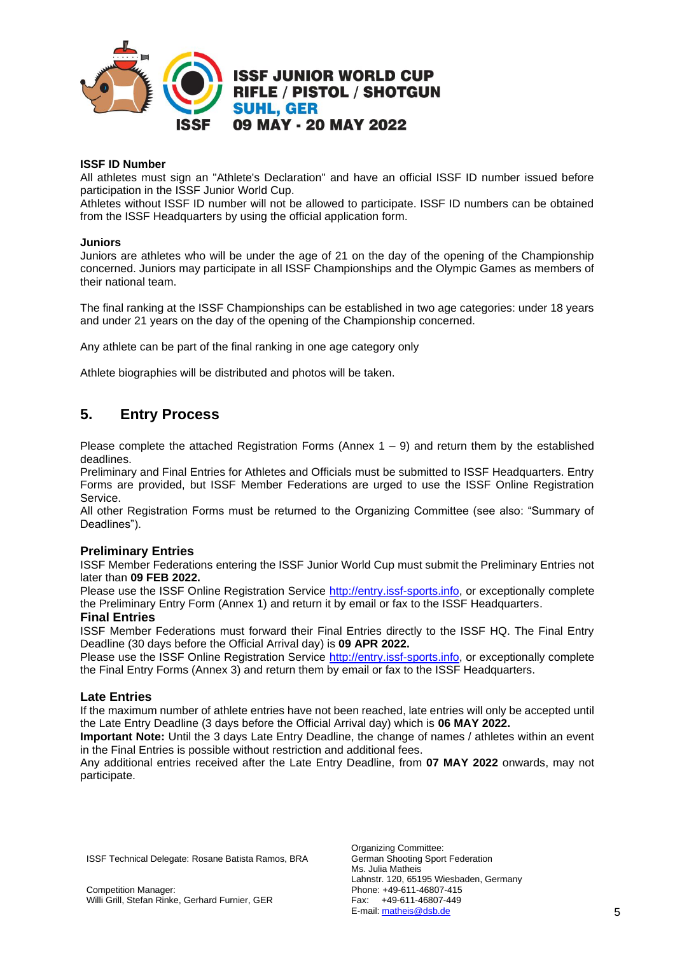

#### **ISSF ID Number**

All athletes must sign an "Athlete's Declaration" and have an official ISSF ID number issued before participation in the ISSF Junior World Cup.

Athletes without ISSF ID number will not be allowed to participate. ISSF ID numbers can be obtained from the ISSF Headquarters by using the official application form.

#### **Juniors**

Juniors are athletes who will be under the age of 21 on the day of the opening of the Championship concerned. Juniors may participate in all ISSF Championships and the Olympic Games as members of their national team.

The final ranking at the ISSF Championships can be established in two age categories: under 18 years and under 21 years on the day of the opening of the Championship concerned.

Any athlete can be part of the final ranking in one age category only

Athlete biographies will be distributed and photos will be taken.

# **5. Entry Process**

Please complete the attached Registration Forms (Annex  $1 - 9$ ) and return them by the established deadlines.

Preliminary and Final Entries for Athletes and Officials must be submitted to ISSF Headquarters. Entry Forms are provided, but ISSF Member Federations are urged to use the ISSF Online Registration Service.

All other Registration Forms must be returned to the Organizing Committee (see also: "Summary of Deadlines").

#### **Preliminary Entries**

ISSF Member Federations entering the ISSF Junior World Cup must submit the Preliminary Entries not later than **09 FEB 2022.**

Please use the ISSF Online Registration Service [http://entry.issf-sports.info,](http://entry.issf-sports.info/) or exceptionally complete the Preliminary Entry Form (Annex 1) and return it by email or fax to the ISSF Headquarters.

# **Final Entries**

ISSF Member Federations must forward their Final Entries directly to the ISSF HQ. The Final Entry Deadline (30 days before the Official Arrival day) is **09 APR 2022.**

Please use the ISSF Online Registration Service [http://entry.issf-sports.info,](http://entry.issf-sports.info/) or exceptionally complete the Final Entry Forms (Annex 3) and return them by email or fax to the ISSF Headquarters.

#### **Late Entries**

If the maximum number of athlete entries have not been reached, late entries will only be accepted until the Late Entry Deadline (3 days before the Official Arrival day) which is **06 MAY 2022.**

**Important Note:** Until the 3 days Late Entry Deadline, the change of names / athletes within an event in the Final Entries is possible without restriction and additional fees.

Any additional entries received after the Late Entry Deadline, from **07 MAY 2022** onwards, may not participate.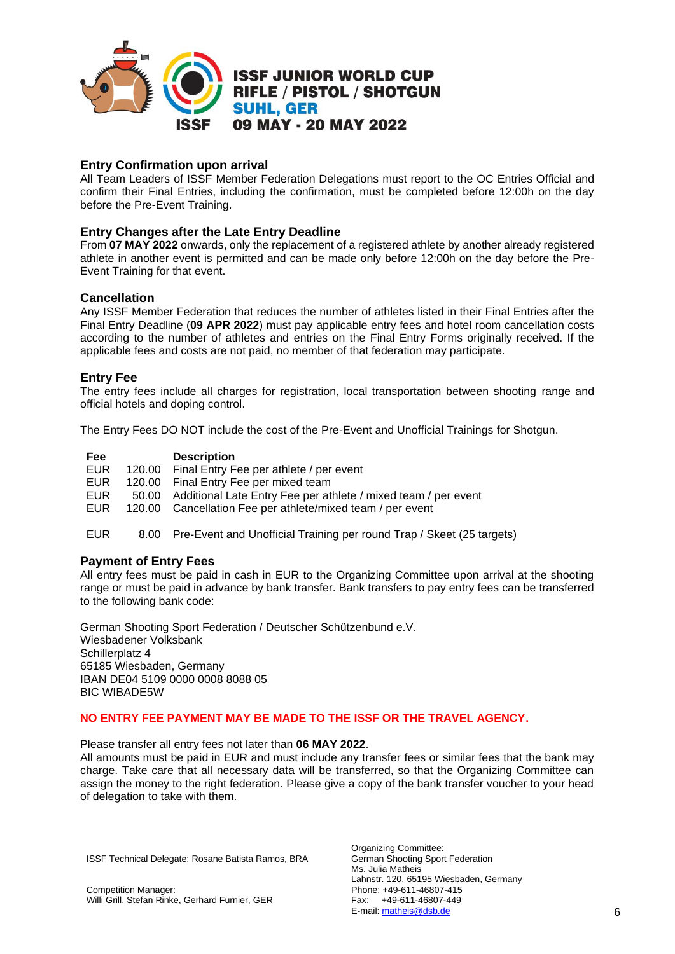

# **Entry Confirmation upon arrival**

All Team Leaders of ISSF Member Federation Delegations must report to the OC Entries Official and confirm their Final Entries, including the confirmation, must be completed before 12:00h on the day before the Pre-Event Training.

# **Entry Changes after the Late Entry Deadline**

From **07 MAY 2022** onwards, only the replacement of a registered athlete by another already registered athlete in another event is permitted and can be made only before 12:00h on the day before the Pre-Event Training for that event.

### **Cancellation**

Any ISSF Member Federation that reduces the number of athletes listed in their Final Entries after the Final Entry Deadline (**09 APR 2022**) must pay applicable entry fees and hotel room cancellation costs according to the number of athletes and entries on the Final Entry Forms originally received. If the applicable fees and costs are not paid, no member of that federation may participate.

#### **Entry Fee**

The entry fees include all charges for registration, local transportation between shooting range and official hotels and doping control.

The Entry Fees DO NOT include the cost of the Pre-Event and Unofficial Trainings for Shotgun.

| Fee        | <b>Description</b>                                                   |
|------------|----------------------------------------------------------------------|
| <b>EUR</b> | 120.00 Final Entry Fee per athlete / per event                       |
| EUR.       | 120.00 Final Entry Fee per mixed team                                |
| EUR.       | 50.00 Additional Late Entry Fee per athlete / mixed team / per event |
| EUR        | 120.00 Cancellation Fee per athlete/mixed team / per event           |
|            |                                                                      |

# EUR 8.00 Pre-Event and Unofficial Training per round Trap / Skeet (25 targets)

### **Payment of Entry Fees**

All entry fees must be paid in cash in EUR to the Organizing Committee upon arrival at the shooting range or must be paid in advance by bank transfer. Bank transfers to pay entry fees can be transferred to the following bank code:

German Shooting Sport Federation / Deutscher Schützenbund e.V. Wiesbadener Volksbank Schillerplatz 4 65185 Wiesbaden, Germany IBAN DE04 5109 0000 0008 8088 05 BIC WIBADE5W

#### **NO ENTRY FEE PAYMENT MAY BE MADE TO THE ISSF OR THE TRAVEL AGENCY.**

Please transfer all entry fees not later than **06 MAY 2022**.

All amounts must be paid in EUR and must include any transfer fees or similar fees that the bank may charge. Take care that all necessary data will be transferred, so that the Organizing Committee can assign the money to the right federation. Please give a copy of the bank transfer voucher to your head of delegation to take with them.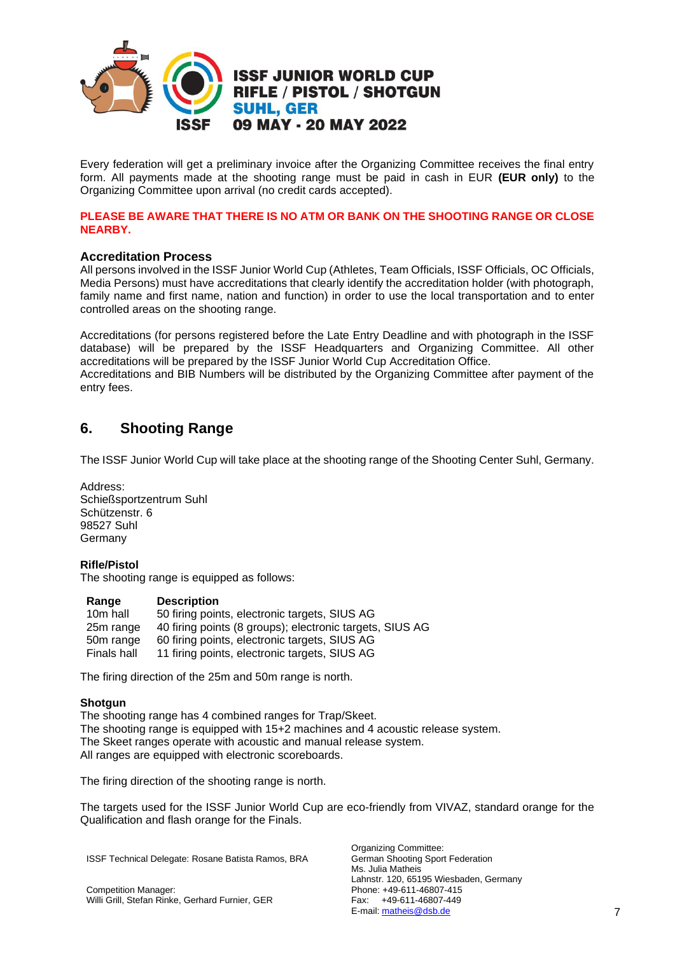

Every federation will get a preliminary invoice after the Organizing Committee receives the final entry form. All payments made at the shooting range must be paid in cash in EUR **(EUR only)** to the Organizing Committee upon arrival (no credit cards accepted).

#### **PLEASE BE AWARE THAT THERE IS NO ATM OR BANK ON THE SHOOTING RANGE OR CLOSE NEARBY.**

### **Accreditation Process**

All persons involved in the ISSF Junior World Cup (Athletes, Team Officials, ISSF Officials, OC Officials, Media Persons) must have accreditations that clearly identify the accreditation holder (with photograph, family name and first name, nation and function) in order to use the local transportation and to enter controlled areas on the shooting range.

Accreditations (for persons registered before the Late Entry Deadline and with photograph in the ISSF database) will be prepared by the ISSF Headquarters and Organizing Committee. All other accreditations will be prepared by the ISSF Junior World Cup Accreditation Office. Accreditations and BIB Numbers will be distributed by the Organizing Committee after payment of the entry fees.

# **6. Shooting Range**

The ISSF Junior World Cup will take place at the shooting range of the Shooting Center Suhl, Germany.

Address: Schießsportzentrum Suhl Schützenstr. 6 98527 Suhl Germany

### **Rifle/Pistol**

The shooting range is equipped as follows:

### **Range Description**

| 50 firing points, electronic targets, SIUS AG            |
|----------------------------------------------------------|
| 40 firing points (8 groups); electronic targets, SIUS AG |
| 60 firing points, electronic targets, SIUS AG            |
| 11 firing points, electronic targets, SIUS AG            |
|                                                          |

The firing direction of the 25m and 50m range is north.

### **Shotgun**

The shooting range has 4 combined ranges for Trap/Skeet. The shooting range is equipped with 15+2 machines and 4 acoustic release system. The Skeet ranges operate with acoustic and manual release system. All ranges are equipped with electronic scoreboards.

The firing direction of the shooting range is north.

The targets used for the ISSF Junior World Cup are eco-friendly from VIVAZ, standard orange for the Qualification and flash orange for the Finals.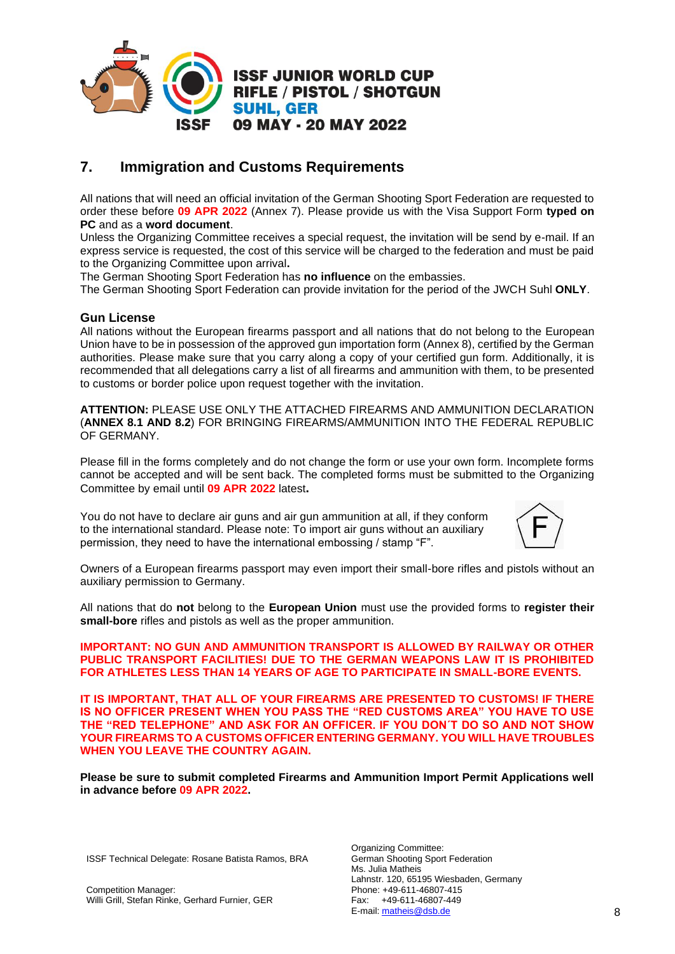

# **7. Immigration and Customs Requirements**

All nations that will need an official invitation of the German Shooting Sport Federation are requested to order these before **09 APR 2022** (Annex 7). Please provide us with the Visa Support Form **typed on PC** and as a **word document**.

Unless the Organizing Committee receives a special request, the invitation will be send by e-mail. If an express service is requested, the cost of this service will be charged to the federation and must be paid to the Organizing Committee upon arrival**.** 

The German Shooting Sport Federation has **no influence** on the embassies.

The German Shooting Sport Federation can provide invitation for the period of the JWCH Suhl **ONLY**.

### **Gun License**

All nations without the European firearms passport and all nations that do not belong to the European Union have to be in possession of the approved gun importation form (Annex 8), certified by the German authorities. Please make sure that you carry along a copy of your certified gun form. Additionally, it is recommended that all delegations carry a list of all firearms and ammunition with them, to be presented to customs or border police upon request together with the invitation.

**ATTENTION:** PLEASE USE ONLY THE ATTACHED FIREARMS AND AMMUNITION DECLARATION (**ANNEX 8.1 AND 8.2**) FOR BRINGING FIREARMS/AMMUNITION INTO THE FEDERAL REPUBLIC OF GERMANY.

Please fill in the forms completely and do not change the form or use your own form. Incomplete forms cannot be accepted and will be sent back. The completed forms must be submitted to the Organizing Committee by email until **09 APR 2022** latest**.**

You do not have to declare air guns and air gun ammunition at all, if they conform to the international standard. Please note: To import air guns without an auxiliary permission, they need to have the international embossing / stamp "F".



Owners of a European firearms passport may even import their small-bore rifles and pistols without an auxiliary permission to Germany.

All nations that do **not** belong to the **European Union** must use the provided forms to **register their small-bore** rifles and pistols as well as the proper ammunition.

#### **IMPORTANT: NO GUN AND AMMUNITION TRANSPORT IS ALLOWED BY RAILWAY OR OTHER PUBLIC TRANSPORT FACILITIES! DUE TO THE GERMAN WEAPONS LAW IT IS PROHIBITED FOR ATHLETES LESS THAN 14 YEARS OF AGE TO PARTICIPATE IN SMALL-BORE EVENTS.**

**IT IS IMPORTANT, THAT ALL OF YOUR FIREARMS ARE PRESENTED TO CUSTOMS! IF THERE IS NO OFFICER PRESENT WHEN YOU PASS THE "RED CUSTOMS AREA" YOU HAVE TO USE THE "RED TELEPHONE" AND ASK FOR AN OFFICER. IF YOU DON´T DO SO AND NOT SHOW YOUR FIREARMS TO A CUSTOMS OFFICER ENTERING GERMANY. YOU WILL HAVE TROUBLES WHEN YOU LEAVE THE COUNTRY AGAIN.**

**Please be sure to submit completed Firearms and Ammunition Import Permit Applications well in advance before 09 APR 2022.**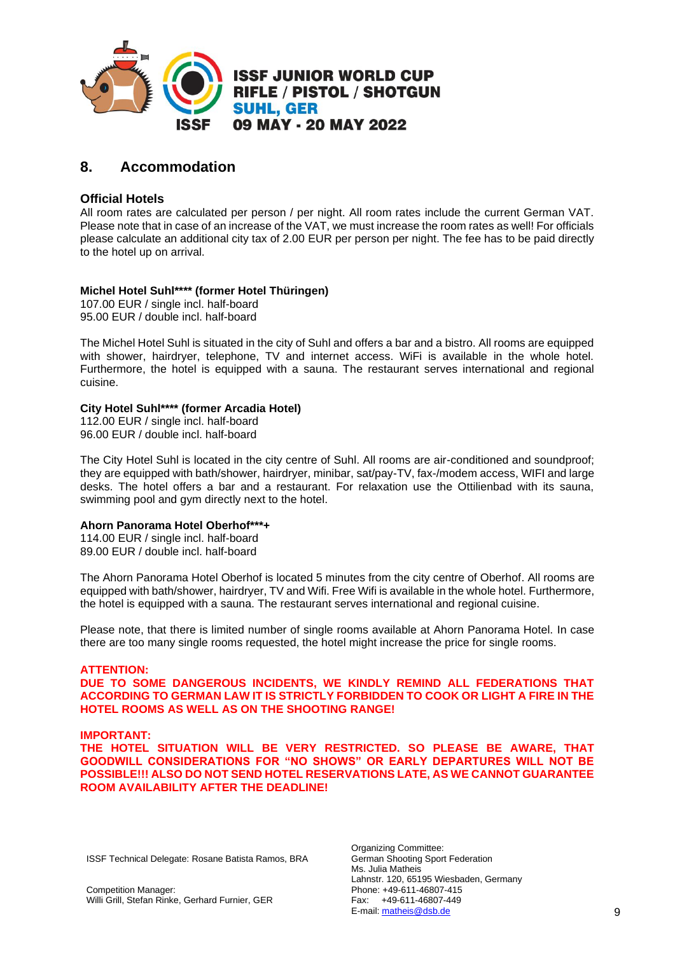

# **8. Accommodation**

# **Official Hotels**

All room rates are calculated per person / per night. All room rates include the current German VAT. Please note that in case of an increase of the VAT, we must increase the room rates as well! For officials please calculate an additional city tax of 2.00 EUR per person per night. The fee has to be paid directly to the hotel up on arrival.

# **Michel Hotel Suhl\*\*\*\* (former Hotel Thüringen)**

107.00 EUR / single incl. half-board 95.00 EUR / double incl. half-board

The Michel Hotel Suhl is situated in the city of Suhl and offers a bar and a bistro. All rooms are equipped with shower, hairdryer, telephone, TV and internet access. WiFi is available in the whole hotel. Furthermore, the hotel is equipped with a sauna. The restaurant serves international and regional cuisine.

### **City Hotel Suhl\*\*\*\* (former Arcadia Hotel)**

112.00 EUR / single incl. half-board 96.00 EUR / double incl. half-board

The City Hotel Suhl is located in the city centre of Suhl. All rooms are air-conditioned and soundproof; they are equipped with bath/shower, hairdryer, minibar, sat/pay-TV, fax-/modem access, WIFI and large desks. The hotel offers a bar and a restaurant. For relaxation use the Ottilienbad with its sauna, swimming pool and gym directly next to the hotel.

### **Ahorn Panorama Hotel Oberhof\*\*\*+**

114.00 EUR / single incl. half-board 89.00 EUR / double incl. half-board

The Ahorn Panorama Hotel Oberhof is located 5 minutes from the city centre of Oberhof. All rooms are equipped with bath/shower, hairdryer, TV and Wifi. Free Wifi is available in the whole hotel. Furthermore, the hotel is equipped with a sauna. The restaurant serves international and regional cuisine.

Please note, that there is limited number of single rooms available at Ahorn Panorama Hotel. In case there are too many single rooms requested, the hotel might increase the price for single rooms.

### **ATTENTION:**

**DUE TO SOME DANGEROUS INCIDENTS, WE KINDLY REMIND ALL FEDERATIONS THAT ACCORDING TO GERMAN LAW IT IS STRICTLY FORBIDDEN TO COOK OR LIGHT A FIRE IN THE HOTEL ROOMS AS WELL AS ON THE SHOOTING RANGE!** 

### **IMPORTANT:**

**THE HOTEL SITUATION WILL BE VERY RESTRICTED. SO PLEASE BE AWARE, THAT GOODWILL CONSIDERATIONS FOR "NO SHOWS" OR EARLY DEPARTURES WILL NOT BE POSSIBLE!!! ALSO DO NOT SEND HOTEL RESERVATIONS LATE, AS WE CANNOT GUARANTEE ROOM AVAILABILITY AFTER THE DEADLINE!**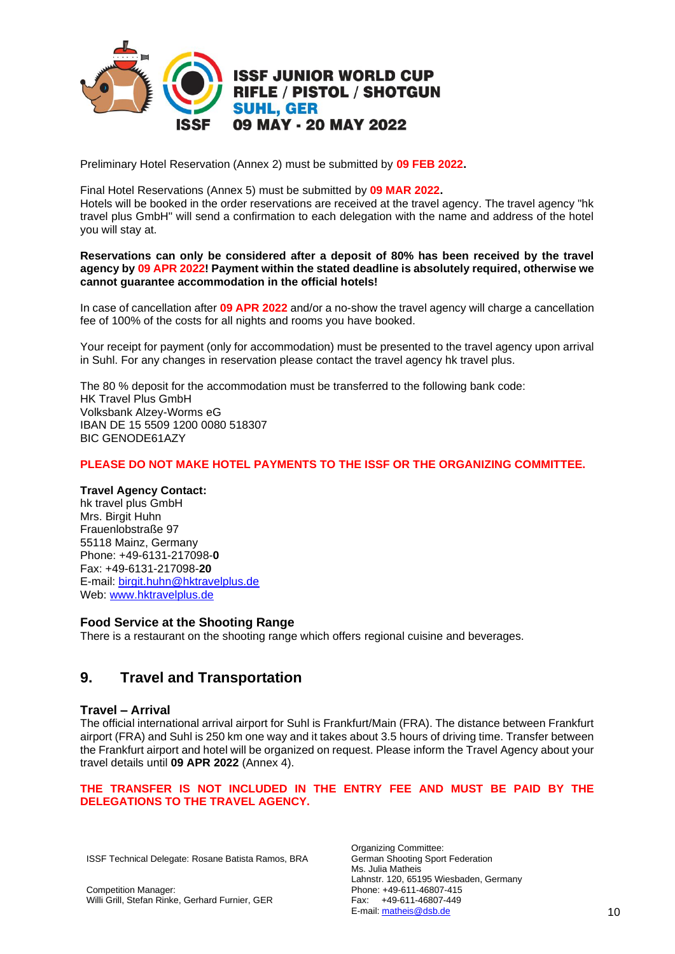

Preliminary Hotel Reservation (Annex 2) must be submitted by **09 FEB 2022.**

Final Hotel Reservations (Annex 5) must be submitted by **09 MAR 2022.**

Hotels will be booked in the order reservations are received at the travel agency. The travel agency "hk travel plus GmbH" will send a confirmation to each delegation with the name and address of the hotel you will stay at.

**Reservations can only be considered after a deposit of 80% has been received by the travel agency by 09 APR 2022! Payment within the stated deadline is absolutely required, otherwise we cannot guarantee accommodation in the official hotels!** 

In case of cancellation after **09 APR 2022** and/or a no-show the travel agency will charge a cancellation fee of 100% of the costs for all nights and rooms you have booked.

Your receipt for payment (only for accommodation) must be presented to the travel agency upon arrival in Suhl. For any changes in reservation please contact the travel agency hk travel plus.

The 80 % deposit for the accommodation must be transferred to the following bank code: HK Travel Plus GmbH Volksbank Alzey-Worms eG IBAN DE 15 5509 1200 0080 518307 BIC GENODE61AZY

### **PLEASE DO NOT MAKE HOTEL PAYMENTS TO THE ISSF OR THE ORGANIZING COMMITTEE.**

#### **Travel Agency Contact:**

hk travel plus GmbH Mrs. Birgit Huhn Frauenlobstraße 97 55118 Mainz, Germany Phone: +49-6131-217098-**0**  Fax: +49-6131-217098-**20**  E-mail: [birgit.huhn@hktravelplus.de](mailto:birgit.huhn@hktravelplus.de) Web: [www.hktravelplus.de](http://www.hktravelplus.de/)

### **Food Service at the Shooting Range**

There is a restaurant on the shooting range which offers regional cuisine and beverages.

# **9. Travel and Transportation**

#### **Travel – Arrival**

The official international arrival airport for Suhl is Frankfurt/Main (FRA). The distance between Frankfurt airport (FRA) and Suhl is 250 km one way and it takes about 3.5 hours of driving time. Transfer between the Frankfurt airport and hotel will be organized on request. Please inform the Travel Agency about your travel details until **09 APR 2022** (Annex 4).

#### **THE TRANSFER IS NOT INCLUDED IN THE ENTRY FEE AND MUST BE PAID BY THE DELEGATIONS TO THE TRAVEL AGENCY.**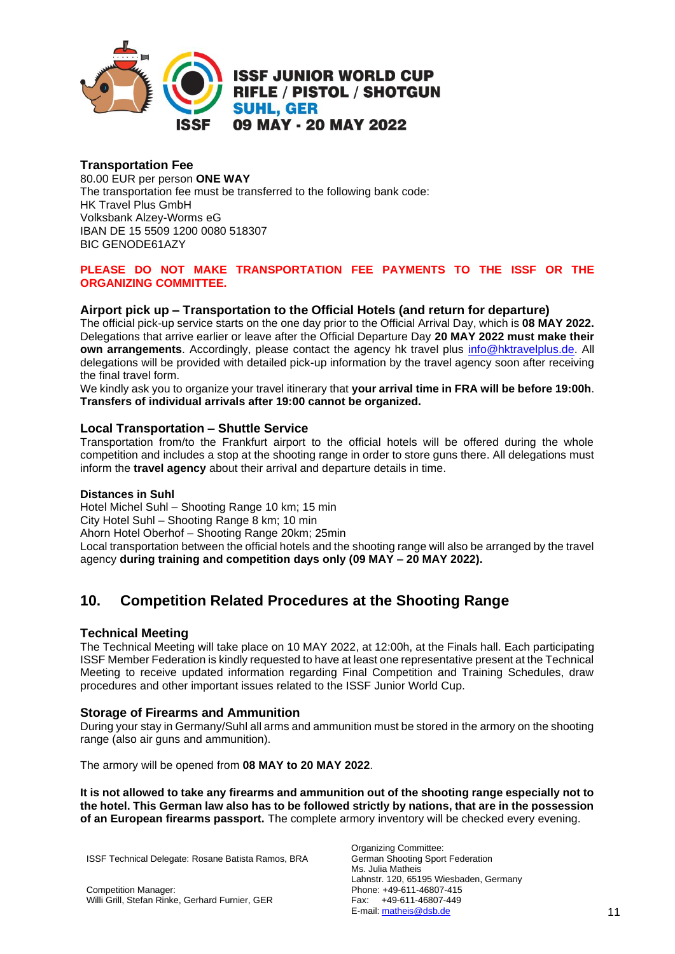

# **Transportation Fee**

80.00 EUR per person **ONE WAY** The transportation fee must be transferred to the following bank code: HK Travel Plus GmbH Volksbank Alzey-Worms eG IBAN DE 15 5509 1200 0080 518307 BIC GENODE61AZY

# **PLEASE DO NOT MAKE TRANSPORTATION FEE PAYMENTS TO THE ISSF OR THE ORGANIZING COMMITTEE.**

# **Airport pick up – Transportation to the Official Hotels (and return for departure)**

The official pick-up service starts on the one day prior to the Official Arrival Day, which is **08 MAY 2022.**  Delegations that arrive earlier or leave after the Official Departure Day **20 MAY 2022 must make their own arrangements**. Accordingly, please contact the agency hk travel plus [info@hktravelplus.de.](mailto:info@hktravelplus.de) All delegations will be provided with detailed pick-up information by the travel agency soon after receiving the final travel form.

We kindly ask you to organize your travel itinerary that **your arrival time in FRA will be before 19:00h**. **Transfers of individual arrivals after 19:00 cannot be organized.**

### **Local Transportation – Shuttle Service**

Transportation from/to the Frankfurt airport to the official hotels will be offered during the whole competition and includes a stop at the shooting range in order to store guns there. All delegations must inform the **travel agency** about their arrival and departure details in time.

### **Distances in Suhl**

Hotel Michel Suhl – Shooting Range 10 km; 15 min City Hotel Suhl – Shooting Range 8 km; 10 min Ahorn Hotel Oberhof – Shooting Range 20km; 25min Local transportation between the official hotels and the shooting range will also be arranged by the travel agency **during training and competition days only (09 MAY – 20 MAY 2022).**

# **10. Competition Related Procedures at the Shooting Range**

### **Technical Meeting**

The Technical Meeting will take place on 10 MAY 2022, at 12:00h, at the Finals hall. Each participating ISSF Member Federation is kindly requested to have at least one representative present at the Technical Meeting to receive updated information regarding Final Competition and Training Schedules, draw procedures and other important issues related to the ISSF Junior World Cup.

### **Storage of Firearms and Ammunition**

During your stay in Germany/Suhl all arms and ammunition must be stored in the armory on the shooting range (also air guns and ammunition).

The armory will be opened from **08 MAY to 20 MAY 2022**.

**It is not allowed to take any firearms and ammunition out of the shooting range especially not to the hotel. This German law also has to be followed strictly by nations, that are in the possession of an European firearms passport.** The complete armory inventory will be checked every evening.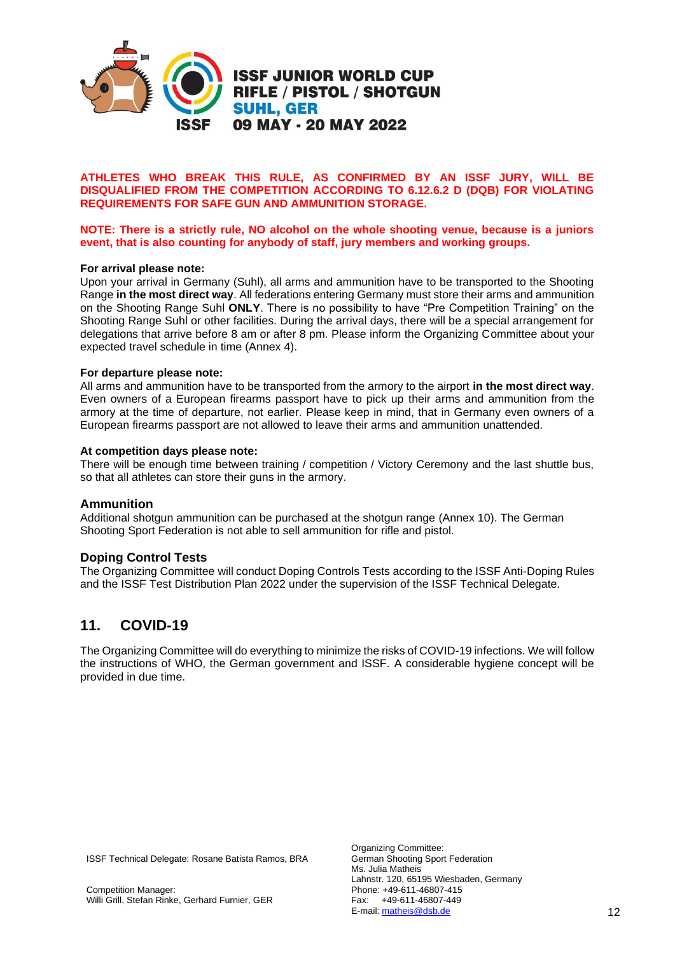

#### **ATHLETES WHO BREAK THIS RULE, AS CONFIRMED BY AN ISSF JURY, WILL BE DISQUALIFIED FROM THE COMPETITION ACCORDING TO 6.12.6.2 D (DQB) FOR VIOLATING REQUIREMENTS FOR SAFE GUN AND AMMUNITION STORAGE.**

#### **NOTE: There is a strictly rule, NO alcohol on the whole shooting venue, because is a juniors event, that is also counting for anybody of staff, jury members and working groups.**

#### **For arrival please note:**

Upon your arrival in Germany (Suhl), all arms and ammunition have to be transported to the Shooting Range **in the most direct way**. All federations entering Germany must store their arms and ammunition on the Shooting Range Suhl **ONLY**. There is no possibility to have "Pre Competition Training" on the Shooting Range Suhl or other facilities. During the arrival days, there will be a special arrangement for delegations that arrive before 8 am or after 8 pm. Please inform the Organizing Committee about your expected travel schedule in time (Annex 4).

#### **For departure please note:**

All arms and ammunition have to be transported from the armory to the airport **in the most direct way**. Even owners of a European firearms passport have to pick up their arms and ammunition from the armory at the time of departure, not earlier. Please keep in mind, that in Germany even owners of a European firearms passport are not allowed to leave their arms and ammunition unattended.

#### **At competition days please note:**

There will be enough time between training / competition / Victory Ceremony and the last shuttle bus, so that all athletes can store their guns in the armory.

#### **Ammunition**

Additional shotgun ammunition can be purchased at the shotgun range (Annex 10). The German Shooting Sport Federation is not able to sell ammunition for rifle and pistol.

#### **Doping Control Tests**

The Organizing Committee will conduct Doping Controls Tests according to the ISSF Anti-Doping Rules and the ISSF Test Distribution Plan 2022 under the supervision of the ISSF Technical Delegate.

# **11. COVID-19**

The Organizing Committee will do everything to minimize the risks of COVID-19 infections. We will follow the instructions of WHO, the German government and ISSF. A considerable hygiene concept will be provided in due time.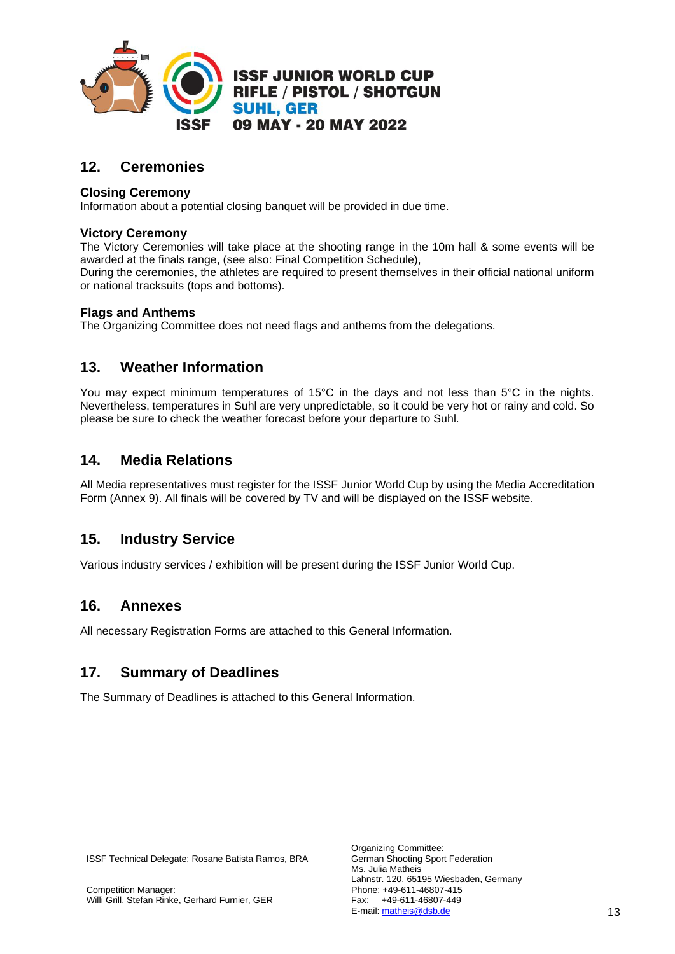

# **12. Ceremonies**

# **Closing Ceremony**

Information about a potential closing banquet will be provided in due time.

# **Victory Ceremony**

The Victory Ceremonies will take place at the shooting range in the 10m hall & some events will be awarded at the finals range, (see also: Final Competition Schedule),

During the ceremonies, the athletes are required to present themselves in their official national uniform or national tracksuits (tops and bottoms).

# **Flags and Anthems**

The Organizing Committee does not need flags and anthems from the delegations.

# **13. Weather Information**

You may expect minimum temperatures of 15°C in the days and not less than 5°C in the nights. Nevertheless, temperatures in Suhl are very unpredictable, so it could be very hot or rainy and cold. So please be sure to check the weather forecast before your departure to Suhl.

# **14. Media Relations**

All Media representatives must register for the ISSF Junior World Cup by using the Media Accreditation Form (Annex 9). All finals will be covered by TV and will be displayed on the ISSF website.

# **15. Industry Service**

Various industry services / exhibition will be present during the ISSF Junior World Cup.

# **16. Annexes**

All necessary Registration Forms are attached to this General Information.

# **17. Summary of Deadlines**

The Summary of Deadlines is attached to this General Information.